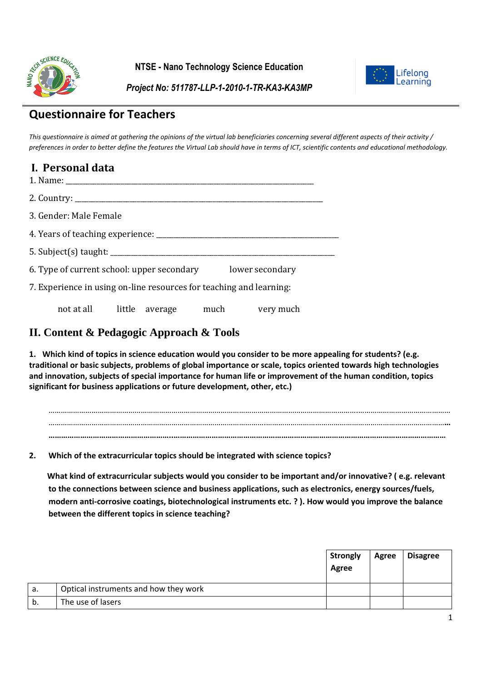

**NTSE - Nano Technology Science Education**



*Project No: 511787-LLP-1-2010-1-TR-KA3-KA3MP*

# **Questionnaire for Teachers**

*This questionnaire is aimed at gathering the opinions of the virtual lab beneficiaries concerning several different aspects of their activity / preferences in order to better define the features the Virtual Lab should have in terms of ICT, scientific contents and educational methodology.*

| I. Personal data                                                    |  |
|---------------------------------------------------------------------|--|
|                                                                     |  |
| 3. Gender: Male Female                                              |  |
|                                                                     |  |
|                                                                     |  |
| 6. Type of current school: upper secondary lower secondary          |  |
| 7. Experience in using on-line resources for teaching and learning: |  |
|                                                                     |  |

not at all little average much very much

# **II. Content & Pedagogic Approach & Tools**

**1. Which kind of topics in science education would you consider to be more appealing for students? (e.g. traditional or basic subjects, problems of global importance or scale, topics oriented towards high technologies and innovation, subjects of special importance for human life or improvement of the human condition, topics significant for business applications or future development, other, etc.)** 

…………………………………………………………………………………………………………………………………….……………………………………… …………………………………………………………………………………………….……………………………………………………………………………**… …………………………………………………..…………………………………………………………………………………………………………………**

**2. Which of the extracurricular topics should be integrated with science topics?**

 **What kind of extracurricular subjects would you consider to be important and/or innovative? ( e.g. relevant to the connections between science and business applications, such as electronics, energy sources/fuels, modern anti-corrosive coatings, biotechnological instruments etc. ? ). How would you improve the balance between the different topics in science teaching?**

|    |                                       | <b>Strongly</b><br>Agree | Agree | <b>Disagree</b> |
|----|---------------------------------------|--------------------------|-------|-----------------|
| а. | Optical instruments and how they work |                          |       |                 |
| b. | The use of lasers                     |                          |       |                 |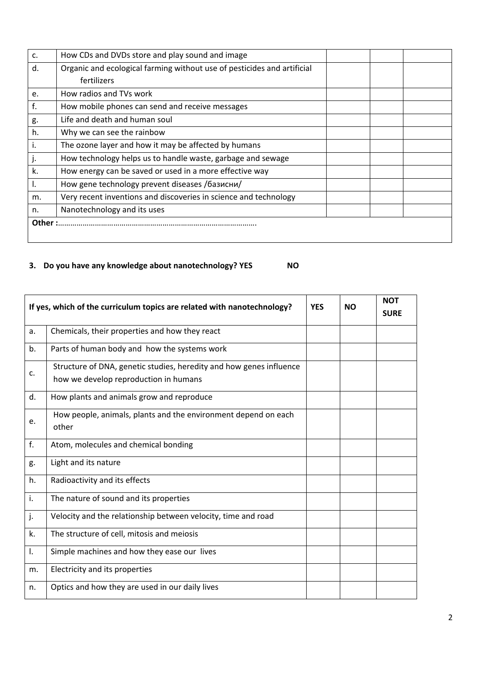| C.     | How CDs and DVDs store and play sound and image                         |  |  |
|--------|-------------------------------------------------------------------------|--|--|
| d.     | Organic and ecological farming without use of pesticides and artificial |  |  |
|        | fertilizers                                                             |  |  |
| e.     | How radios and TVs work                                                 |  |  |
| f.     | How mobile phones can send and receive messages                         |  |  |
| g.     | Life and death and human soul                                           |  |  |
| h.     | Why we can see the rainbow                                              |  |  |
| i.     | The ozone layer and how it may be affected by humans                    |  |  |
| j.     | How technology helps us to handle waste, garbage and sewage             |  |  |
| k.     | How energy can be saved or used in a more effective way                 |  |  |
| I.     | How gene technology prevent diseases /базисни/                          |  |  |
| m.     | Very recent inventions and discoveries in science and technology        |  |  |
| n.     | Nanotechnology and its uses                                             |  |  |
| Other: |                                                                         |  |  |
|        |                                                                         |  |  |

# **3. Do you have any knowledge about nanotechnology? YES NO**

|    | If yes, which of the curriculum topics are related with nanotechnology?                                      |  | <b>NO</b> | <b>NOT</b><br><b>SURE</b> |
|----|--------------------------------------------------------------------------------------------------------------|--|-----------|---------------------------|
| a. | Chemicals, their properties and how they react                                                               |  |           |                           |
| b. | Parts of human body and how the systems work                                                                 |  |           |                           |
| c. | Structure of DNA, genetic studies, heredity and how genes influence<br>how we develop reproduction in humans |  |           |                           |
| d. | How plants and animals grow and reproduce                                                                    |  |           |                           |
| e. | How people, animals, plants and the environment depend on each<br>other                                      |  |           |                           |
| f. | Atom, molecules and chemical bonding                                                                         |  |           |                           |
| g. | Light and its nature                                                                                         |  |           |                           |
| h. | Radioactivity and its effects                                                                                |  |           |                           |
| i. | The nature of sound and its properties                                                                       |  |           |                           |
| j. | Velocity and the relationship between velocity, time and road                                                |  |           |                           |
| k. | The structure of cell, mitosis and meiosis                                                                   |  |           |                           |
| I. | Simple machines and how they ease our lives                                                                  |  |           |                           |
| m. | Electricity and its properties                                                                               |  |           |                           |
| n. | Optics and how they are used in our daily lives                                                              |  |           |                           |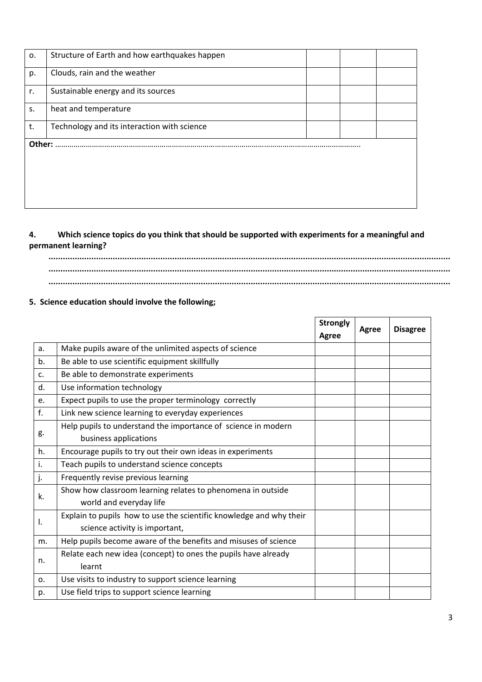| 0.     | Structure of Earth and how earthquakes happen |  |  |
|--------|-----------------------------------------------|--|--|
| p.     | Clouds, rain and the weather                  |  |  |
| r.     | Sustainable energy and its sources            |  |  |
| S.     | heat and temperature                          |  |  |
| t.     | Technology and its interaction with science   |  |  |
| Other: |                                               |  |  |
|        |                                               |  |  |
|        |                                               |  |  |
|        |                                               |  |  |

### **4. Which science topics do you think that should be supported with experiments for a meaningful and permanent learning?**

# **......................................................................................................................................................................... ......................................................................................................................................................................... .........................................................................................................................................................................**

### **5. Science education should involve the following;**

|    | <b>Strongly</b>                                                     |       | Agree | <b>Disagree</b> |
|----|---------------------------------------------------------------------|-------|-------|-----------------|
|    |                                                                     | Agree |       |                 |
| a. | Make pupils aware of the unlimited aspects of science               |       |       |                 |
| b. | Be able to use scientific equipment skillfully                      |       |       |                 |
| c. | Be able to demonstrate experiments                                  |       |       |                 |
| d. | Use information technology                                          |       |       |                 |
| e. | Expect pupils to use the proper terminology correctly               |       |       |                 |
| f. | Link new science learning to everyday experiences                   |       |       |                 |
|    | Help pupils to understand the importance of science in modern       |       |       |                 |
| g. | business applications                                               |       |       |                 |
| h. | Encourage pupils to try out their own ideas in experiments          |       |       |                 |
| i. | Teach pupils to understand science concepts                         |       |       |                 |
| j. | Frequently revise previous learning                                 |       |       |                 |
| k. | Show how classroom learning relates to phenomena in outside         |       |       |                 |
|    | world and everyday life                                             |       |       |                 |
| Ι. | Explain to pupils how to use the scientific knowledge and why their |       |       |                 |
|    | science activity is important,                                      |       |       |                 |
| m. | Help pupils become aware of the benefits and misuses of science     |       |       |                 |
| n. | Relate each new idea (concept) to ones the pupils have already      |       |       |                 |
|    | learnt                                                              |       |       |                 |
| 0. | Use visits to industry to support science learning                  |       |       |                 |
| p. | Use field trips to support science learning                         |       |       |                 |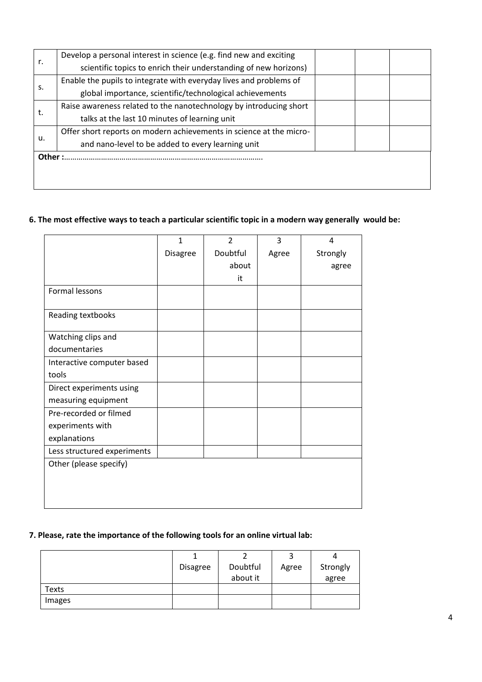|       | Develop a personal interest in science (e.g. find new and exciting  |  |  |
|-------|---------------------------------------------------------------------|--|--|
| r.    | scientific topics to enrich their understanding of new horizons)    |  |  |
|       | Enable the pupils to integrate with everyday lives and problems of  |  |  |
| s.    | global importance, scientific/technological achievements            |  |  |
|       | Raise awareness related to the nanotechnology by introducing short  |  |  |
| t.    | talks at the last 10 minutes of learning unit                       |  |  |
|       | Offer short reports on modern achievements in science at the micro- |  |  |
| u.    | and nano-level to be added to every learning unit                   |  |  |
| Other |                                                                     |  |  |
|       |                                                                     |  |  |
|       |                                                                     |  |  |

# **6. The most effective ways to teach a particular scientific topic in a modern way generally would be:**

|                             | $\mathbf{1}$    | $\overline{2}$ | 3     | 4        |
|-----------------------------|-----------------|----------------|-------|----------|
|                             | <b>Disagree</b> | Doubtful       | Agree | Strongly |
|                             |                 | about          |       | agree    |
|                             |                 | it             |       |          |
| Formal lessons              |                 |                |       |          |
| Reading textbooks           |                 |                |       |          |
| Watching clips and          |                 |                |       |          |
| documentaries               |                 |                |       |          |
| Interactive computer based  |                 |                |       |          |
| tools                       |                 |                |       |          |
| Direct experiments using    |                 |                |       |          |
| measuring equipment         |                 |                |       |          |
| Pre-recorded or filmed      |                 |                |       |          |
| experiments with            |                 |                |       |          |
| explanations                |                 |                |       |          |
| Less structured experiments |                 |                |       |          |
| Other (please specify)      |                 |                |       |          |
|                             |                 |                |       |          |
|                             |                 |                |       |          |
|                             |                 |                |       |          |

### **7. Please, rate the importance of the following tools for an online virtual lab:**

|        |                 |          | ີ     |          |
|--------|-----------------|----------|-------|----------|
|        | <b>Disagree</b> | Doubtful | Agree | Strongly |
|        |                 | about it |       | agree    |
| Texts  |                 |          |       |          |
| Images |                 |          |       |          |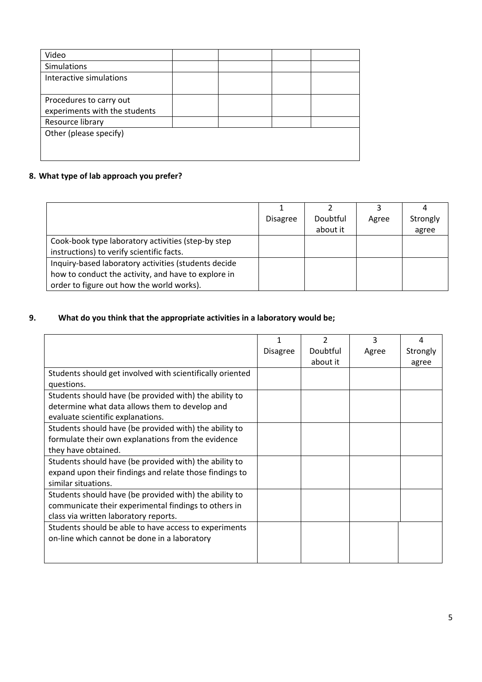| Video                         |  |  |
|-------------------------------|--|--|
| Simulations                   |  |  |
| Interactive simulations       |  |  |
|                               |  |  |
| Procedures to carry out       |  |  |
| experiments with the students |  |  |
| Resource library              |  |  |
| Other (please specify)        |  |  |
|                               |  |  |
|                               |  |  |

# **8. What type of lab approach you prefer?**

|                                                      | <b>Disagree</b> | Doubtful | Agree | Strongly |
|------------------------------------------------------|-----------------|----------|-------|----------|
|                                                      |                 | about it |       | agree    |
| Cook-book type laboratory activities (step-by step   |                 |          |       |          |
| instructions) to verify scientific facts.            |                 |          |       |          |
| Inquiry-based laboratory activities (students decide |                 |          |       |          |
| how to conduct the activity, and have to explore in  |                 |          |       |          |
| order to figure out how the world works).            |                 |          |       |          |

# **9. What do you think that the appropriate activities in a laboratory would be;**

|                                                           |                 | 2        | 3     | 4        |
|-----------------------------------------------------------|-----------------|----------|-------|----------|
|                                                           | <b>Disagree</b> | Doubtful | Agree | Strongly |
|                                                           |                 | about it |       | agree    |
| Students should get involved with scientifically oriented |                 |          |       |          |
| questions.                                                |                 |          |       |          |
| Students should have (be provided with) the ability to    |                 |          |       |          |
| determine what data allows them to develop and            |                 |          |       |          |
| evaluate scientific explanations.                         |                 |          |       |          |
| Students should have (be provided with) the ability to    |                 |          |       |          |
| formulate their own explanations from the evidence        |                 |          |       |          |
| they have obtained.                                       |                 |          |       |          |
| Students should have (be provided with) the ability to    |                 |          |       |          |
| expand upon their findings and relate those findings to   |                 |          |       |          |
| similar situations.                                       |                 |          |       |          |
| Students should have (be provided with) the ability to    |                 |          |       |          |
| communicate their experimental findings to others in      |                 |          |       |          |
| class via written laboratory reports.                     |                 |          |       |          |
| Students should be able to have access to experiments     |                 |          |       |          |
| on-line which cannot be done in a laboratory              |                 |          |       |          |
|                                                           |                 |          |       |          |
|                                                           |                 |          |       |          |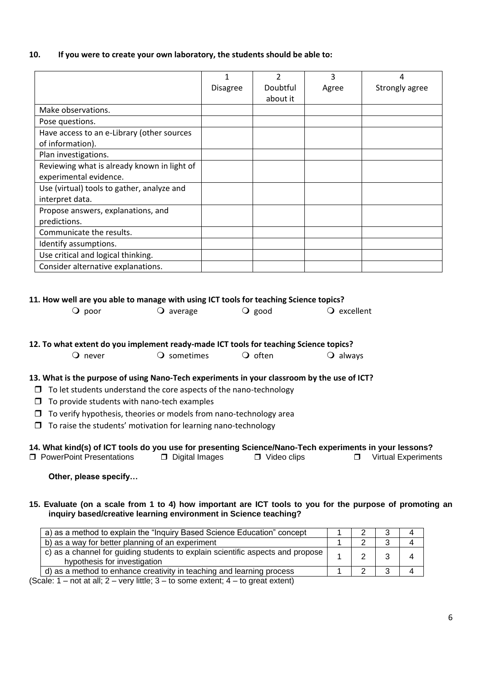### **10. If you were to create your own laboratory, the students should be able to:**

|                                             |                 | $\mathcal{P}$ | 3     | 4              |
|---------------------------------------------|-----------------|---------------|-------|----------------|
|                                             | <b>Disagree</b> | Doubtful      | Agree | Strongly agree |
|                                             |                 | about it      |       |                |
| Make observations.                          |                 |               |       |                |
| Pose questions.                             |                 |               |       |                |
| Have access to an e-Library (other sources  |                 |               |       |                |
| of information).                            |                 |               |       |                |
| Plan investigations.                        |                 |               |       |                |
| Reviewing what is already known in light of |                 |               |       |                |
| experimental evidence.                      |                 |               |       |                |
| Use (virtual) tools to gather, analyze and  |                 |               |       |                |
| interpret data.                             |                 |               |       |                |
| Propose answers, explanations, and          |                 |               |       |                |
| predictions.                                |                 |               |       |                |
| Communicate the results.                    |                 |               |       |                |
| Identify assumptions.                       |                 |               |       |                |
| Use critical and logical thinking.          |                 |               |       |                |
| Consider alternative explanations.          |                 |               |       |                |

#### **11. How well are you able to manage with using ICT tools for teaching Science topics?**

| $\bigcirc$ poor | $\bigcirc$ average | $\overline{Q}$ good | $\overline{Q}$ excellent |
|-----------------|--------------------|---------------------|--------------------------|
|                 |                    |                     |                          |

#### **12. To what extent do you implement ready-made ICT tools for teaching Science topics?**

| $\cup$ never | O sometimes | $\overline{Q}$ often | $\overline{Q}$ always |
|--------------|-------------|----------------------|-----------------------|
|--------------|-------------|----------------------|-----------------------|

#### **13. What is the purpose of using Nano-Tech experiments in your classroom by the use of ICT?**

- $\Box$  To let students understand the core aspects of the nano-technology
- $\Box$  To provide students with nano-tech examples
- $\Box$  To verify hypothesis, theories or models from nano-technology area
- $\Box$  To raise the students' motivation for learning nano-technology

### **14. What kind(s) of ICT tools do you use for presenting Science/Nano-Tech experiments in your lessons?**

| □ PowerPoint Presentations | D Digital Images | $\Box$ Video clips |  | □ Virtual Experiments |
|----------------------------|------------------|--------------------|--|-----------------------|
|----------------------------|------------------|--------------------|--|-----------------------|

**Other, please specify…**

#### **15. Evaluate (on a scale from 1 to 4) how important are ICT tools to you for the purpose of promoting an inquiry based/creative learning environment in Science teaching?**

| a) as a method to explain the "Inquiry Based Science Education" concept                                                                                                                                                                                                                                                                     |  |  |
|---------------------------------------------------------------------------------------------------------------------------------------------------------------------------------------------------------------------------------------------------------------------------------------------------------------------------------------------|--|--|
| b) as a way for better planning of an experiment                                                                                                                                                                                                                                                                                            |  |  |
| c) as a channel for guiding students to explain scientific aspects and propose<br>hypothesis for investigation                                                                                                                                                                                                                              |  |  |
| d) as a method to enhance creativity in teaching and learning process                                                                                                                                                                                                                                                                       |  |  |
| $\mathcal{L} = \mathbf{I}$ and $\mathcal{L} = \mathbf{I}$ and $\mathbf{I} = \mathbf{I}$ and $\mathbf{I} = \mathbf{I}$ and $\mathbf{I} = \mathbf{I}$ and $\mathbf{I} = \mathbf{I}$ and $\mathbf{I} = \mathbf{I}$ and $\mathbf{I} = \mathbf{I}$ and $\mathbf{I} = \mathbf{I}$ and $\mathbf{I} = \mathbf{I}$ and $\mathbf{I} = \mathbf{I}$ and |  |  |

(Scale:  $1$  – not at all;  $2$  – very little;  $3$  – to some extent;  $4$  – to great extent)